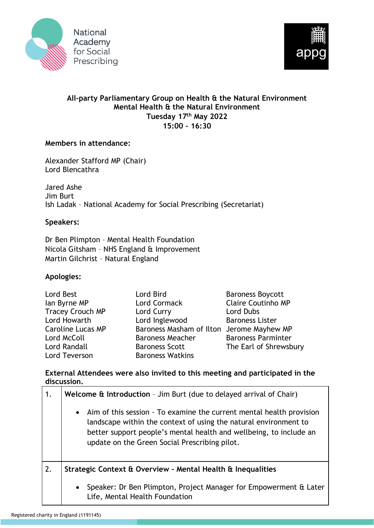



## **All-party Parliamentary Group on Health & the Natural Environment Mental Health & the Natural Environment Tuesday 17th May 2022 15:00 – 16:30**

## **Members in attendance:**

Alexander Stafford MP (Chair) Lord Blencathra

Jared Ashe Jim Burt Ish Ladak – National Academy for Social Prescribing (Secretariat)

## **Speakers:**

Dr Ben Plimpton – Mental Health Foundation Nicola Gitsham – NHS England & Improvement Martin Gilchrist – Natural England

## **Apologies:**

| Lord Best                | Lord Bird                                 | <b>Baroness Boycott</b>   |
|--------------------------|-------------------------------------------|---------------------------|
| lan Byrne MP             | Lord Cormack                              | <b>Claire Coutinho MP</b> |
| <b>Tracey Crouch MP</b>  | Lord Curry                                | Lord Dubs                 |
| Lord Howarth             | Lord Inglewood                            | <b>Baroness Lister</b>    |
| <b>Caroline Lucas MP</b> | Baroness Masham of Ilton Jerome Mayhew MP |                           |
| Lord McColl              | <b>Baroness Meacher</b>                   | <b>Baroness Parminter</b> |
| Lord Randall             | <b>Baroness Scott</b>                     | The Earl of Shrewsbury    |
| Lord Teverson            | <b>Baroness Watkins</b>                   |                           |

**External Attendees were also invited to this meeting and participated in the discussion.**

| 1. | <b>Welcome <math>\hat{\mathbf{t}}</math> Introduction</b> - Jim Burt (due to delayed arrival of Chair)                                                                                                                                                            |  |
|----|-------------------------------------------------------------------------------------------------------------------------------------------------------------------------------------------------------------------------------------------------------------------|--|
|    | • Aim of this session - To examine the current mental health provision<br>landscape within the context of using the natural environment to<br>better support people's mental health and wellbeing, to include an<br>update on the Green Social Prescribing pilot. |  |
| 2. | Strategic Context & Overview - Mental Health & Inequalities                                                                                                                                                                                                       |  |
|    | Speaker: Dr Ben Plimpton, Project Manager for Empowerment & Later<br>$\bullet$<br>Life, Mental Health Foundation                                                                                                                                                  |  |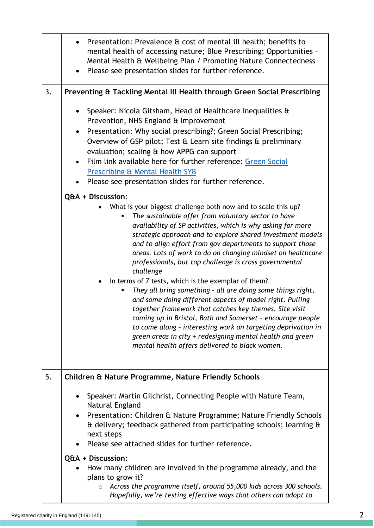|    | Presentation: Prevalence & cost of mental ill health; benefits to<br>mental health of accessing nature; Blue Prescribing; Opportunities -<br>Mental Health & Wellbeing Plan / Promoting Nature Connectedness<br>Please see presentation slides for further reference.                                                                                                                                                                                                                                                                                                                                                                                                                                                                                                                                                                                                                                                                         |
|----|-----------------------------------------------------------------------------------------------------------------------------------------------------------------------------------------------------------------------------------------------------------------------------------------------------------------------------------------------------------------------------------------------------------------------------------------------------------------------------------------------------------------------------------------------------------------------------------------------------------------------------------------------------------------------------------------------------------------------------------------------------------------------------------------------------------------------------------------------------------------------------------------------------------------------------------------------|
| 3. | Preventing & Tackling Mental III Health through Green Social Prescribing                                                                                                                                                                                                                                                                                                                                                                                                                                                                                                                                                                                                                                                                                                                                                                                                                                                                      |
|    | Speaker: Nicola Gitsham, Head of Healthcare Inequalities &<br>Prevention, NHS England & Improvement<br>Presentation: Why social prescribing?; Green Social Prescribing;<br>$\bullet$<br>Overview of GSP pilot; Test & Learn site findings & preliminary<br>evaluation; scaling & how APPG can support<br>Film link available here for further reference: Green Social<br>$\bullet$<br><b>Prescribing &amp; Mental Health SYB</b><br>Please see presentation slides for further reference.<br>Q&A + Discussion:                                                                                                                                                                                                                                                                                                                                                                                                                                |
|    | What is your biggest challenge both now and to scale this up?<br>The sustainable offer from voluntary sector to have<br>availability of SP activities, which is why asking for more<br>strategic approach and to explore shared investment models<br>and to align effort from gov departments to support those<br>areas. Lots of work to do on changing mindset on healthcare<br>professionals, but top challenge is cross governmental<br>challenge<br>In terms of 7 tests, which is the exemplar of them?<br>They all bring something - all are doing some things right,<br>and some doing different aspects of model right. Pulling<br>together framework that catches key themes. Site visit<br>coming up in Bristol, Bath and Somerset - encourage people<br>to come along - interesting work on targeting deprivation in<br>green areas in city + redesigning mental health and green<br>mental health offers delivered to black women. |
| 5. | Children & Nature Programme, Nature Friendly Schools                                                                                                                                                                                                                                                                                                                                                                                                                                                                                                                                                                                                                                                                                                                                                                                                                                                                                          |
|    | Speaker: Martin Gilchrist, Connecting People with Nature Team,<br>Natural England<br>Presentation: Children & Nature Programme; Nature Friendly Schools<br>& delivery; feedback gathered from participating schools; learning &<br>next steps<br>Please see attached slides for further reference.<br>Q&A + Discussion:                                                                                                                                                                                                                                                                                                                                                                                                                                                                                                                                                                                                                       |
|    | How many children are involved in the programme already, and the<br>plans to grow it?<br>Across the programme itself, around 55,000 kids across 300 schools.<br>$\circ$<br>Hopefully, we're testing effective ways that others can adopt to                                                                                                                                                                                                                                                                                                                                                                                                                                                                                                                                                                                                                                                                                                   |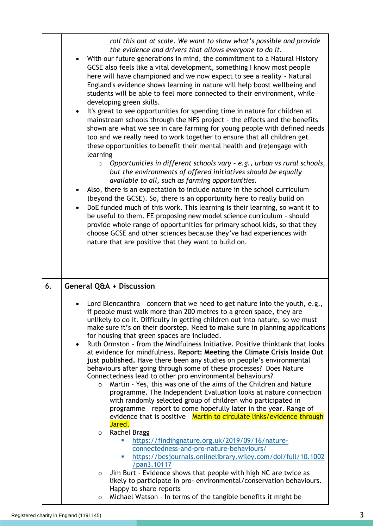|    | roll this out at scale. We want to show what's possible and provide<br>the evidence and drivers that allows everyone to do it.<br>With our future generations in mind, the commitment to a Natural History<br>GCSE also feels like a vital development, something I know most people<br>here will have championed and we now expect to see a reality - Natural<br>England's evidence shows learning in nature will help boost wellbeing and<br>students will be able to feel more connected to their environment, while<br>developing green skills.<br>It's great to see opportunities for spending time in nature for children at<br>$\bullet$<br>mainstream schools through the NFS project - the effects and the benefits<br>shown are what we see in care farming for young people with defined needs<br>too and we really need to work together to ensure that all children get<br>these opportunities to benefit their mental health and (re)engage with<br>learning<br>Opportunities in different schools vary - e.g., urban vs rural schools,<br>$\circ$<br>but the environments of offered initiatives should be equally<br>available to all, such as farming opportunities.<br>Also, there is an expectation to include nature in the school curriculum<br>(beyond the GCSE). So, there is an opportunity here to really build on<br>DoE funded much of this work. This learning is their learning, so want it to<br>be useful to them. FE proposing new model science curriculum - should<br>provide whole range of opportunities for primary school kids, so that they<br>choose GCSE and other sciences because they've had experiences with<br>nature that are positive that they want to build on. |
|----|-------------------------------------------------------------------------------------------------------------------------------------------------------------------------------------------------------------------------------------------------------------------------------------------------------------------------------------------------------------------------------------------------------------------------------------------------------------------------------------------------------------------------------------------------------------------------------------------------------------------------------------------------------------------------------------------------------------------------------------------------------------------------------------------------------------------------------------------------------------------------------------------------------------------------------------------------------------------------------------------------------------------------------------------------------------------------------------------------------------------------------------------------------------------------------------------------------------------------------------------------------------------------------------------------------------------------------------------------------------------------------------------------------------------------------------------------------------------------------------------------------------------------------------------------------------------------------------------------------------------------------------------------------------------------------------------------------------------|
| 6. | General Q&A + Discussion                                                                                                                                                                                                                                                                                                                                                                                                                                                                                                                                                                                                                                                                                                                                                                                                                                                                                                                                                                                                                                                                                                                                                                                                                                                                                                                                                                                                                                                                                                                                                                                                                                                                                          |
|    | Lord Blencanthra - concern that we need to get nature into the youth, e.g.,<br>if people must walk more than 200 metres to a green space, they are<br>unlikely to do it. Difficulty in getting children out into nature, so we must<br>make sure it's on their doorstep. Need to make sure in planning applications<br>for housing that green spaces are included.<br>Ruth Ormston - from the Mindfulness Initiative. Positive thinktank that looks<br>$\bullet$<br>at evidence for mindfulness. Report: Meeting the Climate Crisis Inside Out<br>just published. Have there been any studies on people's environmental<br>behaviours after going through some of these processes? Does Nature<br>Connectedness lead to other pro environmental behaviours?<br>Martin - Yes, this was one of the aims of the Children and Nature<br>$\Omega$<br>programme. The Independent Evaluation looks at nature connection<br>with randomly selected group of children who participated in<br>programme - report to come hopefully later in the year. Range of<br>evidence that is positive - Martin to circulate links/evidence through<br>Jared.                                                                                                                                                                                                                                                                                                                                                                                                                                                                                                                                                                          |
|    | <b>Rachel Bragg</b><br>0<br>https://findingnature.org.uk/2019/09/16/nature-<br>ш<br>connectedness-and-pro-nature-behaviours/<br>https://besjournals.onlinelibrary.wiley.com/doi/full/10.1002<br>×<br>/pan3.10117                                                                                                                                                                                                                                                                                                                                                                                                                                                                                                                                                                                                                                                                                                                                                                                                                                                                                                                                                                                                                                                                                                                                                                                                                                                                                                                                                                                                                                                                                                  |
|    | Jim Burt - Evidence shows that people with high NC are twice as<br>$\mathbf{O}$<br>likely to participate in pro-environmental/conservation behaviours.<br>Happy to share reports<br>Michael Watson - In terms of the tangible benefits it might be<br>0                                                                                                                                                                                                                                                                                                                                                                                                                                                                                                                                                                                                                                                                                                                                                                                                                                                                                                                                                                                                                                                                                                                                                                                                                                                                                                                                                                                                                                                           |